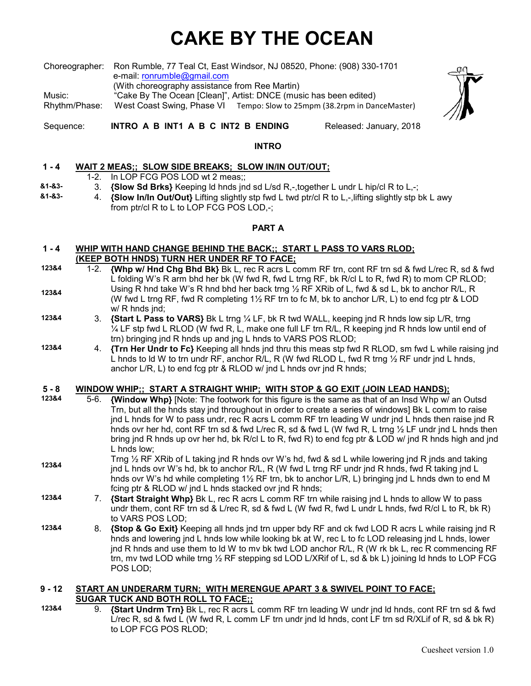# **CAKE BY THE OCEAN**

Choreographer: Ron Rumble, 77 Teal Ct, East Windsor, NJ 08520, Phone: (908) 330-1701 e-mail: ronrumble@gmail.com (With choreography assistance from Ree Martin) Music: "Cake By The Ocean [Clean]", Artist: DNCE (music has been edited)

Rhythm/Phase: West Coast Swing, Phase VITempo: Slow to 25mpm (38.2rpm in DanceMaster)



Sequence: **INTRO A B INT1 A B C INT2 B ENDING** Released: January, 2018

#### **INTRO**

#### **1 - 4 WAIT 2 MEAS;; SLOW SIDE BREAKS; SLOW IN/IN OUT/OUT;**

- 1-2. In LOP FCG POS LOD wt 2 meas;;
- **&1-&3-** 3. **{Slow Sd Brks}** Keeping ld hnds jnd sd L/sd R,-,together L undr L hip/cl R to L,-;
- **&1-&3-** 4. **{Slow In/In Out/Out}** Lifting slightly stp fwd L twd ptr/cl R to L,-,lifting slightly stp bk L awy from ptr/cl R to L to LOP FCG POS LOD,-;

#### **PART A**

#### **1 - 4 WHIP WITH HAND CHANGE BEHIND THE BACK;; START L PASS TO VARS RLOD; (KEEP BOTH HNDS) TURN HER UNDER RF TO FACE;**

- **123&4 123&4**  1-2. **{Whp w/ Hnd Chg Bhd Bk}** Bk L, rec R acrs L comm RF trn, cont RF trn sd & fwd L/rec R, sd & fwd L folding W's R arm bhd her bk (W fwd R, fwd L trng RF, bk R/cl L to R, fwd R) to mom CP RLOD; Using R hnd take W's R hnd bhd her back trng  $\frac{1}{2}$  RF XRib of L, fwd & sd L, bk to anchor R/L, R (W fwd L trng RF, fwd R completing  $1\frac{1}{2}$  RF trn to fc M, bk to anchor L/R, L) to end fcg ptr & LOD w/ R hnds ind:
- **123&4** 3. **{Start L Pass to VARS}** Bk L trng ¼ LF, bk R twd WALL, keeping jnd R hnds low sip L/R, trng  $\frac{1}{4}$  LF stp fwd L RLOD (W fwd R, L, make one full LF trn R/L, R keeping jnd R hnds low until end of trn) bringing jnd R hnds up and jng L hnds to VARS POS RLOD;
- **123&4** 4. **{Trn Her Undr to Fc}** Keeping all hnds jnd thru this meas stp fwd R RLOD, sm fwd L while raising jnd L hnds to ld W to trn undr RF, anchor R/L, R (W fwd RLOD L, fwd R trng  $\frac{1}{2}$  RF undr ind L hnds, anchor L/R, L) to end fcg ptr & RLOD w/ jnd L hnds ovr jnd R hnds;

#### **5 - 8 WINDOW WHIP;; START A STRAIGHT WHIP; WITH STOP & GO EXIT (JOIN LEAD HANDS);**

- **123&4**  5-6. **{Window Whp}** [Note: The footwork for this figure is the same as that of an Insd Whp w/ an Outsd Trn, but all the hnds stay jnd throughout in order to create a series of windows] Bk L comm to raise jnd L hnds for W to pass undr, rec R acrs L comm RF trn leading W undr jnd L hnds then raise jnd R hnds ovr her hd, cont RF trn sd & fwd L/rec R, sd & fwd L (W fwd R, L trng 1/2 LF undr jnd L hnds then bring jnd R hnds up ovr her hd, bk R/cl L to R, fwd R) to end fcg ptr & LOD w/ jnd R hnds high and jnd L hnds low;
- **123&4**  Trng ½ RF XRib of L taking jnd R hnds ovr W's hd, fwd & sd L while lowering jnd R jnds and taking jnd L hnds ovr W's hd, bk to anchor R/L, R (W fwd L trng RF undr jnd R hnds, fwd R taking jnd L hnds ovr W's hd while completing 1½ RF trn, bk to anchor L/R, L) bringing jnd L hnds dwn to end M fcing ptr & RLOD w/ jnd L hnds stacked ovr jnd R hnds;
- **123&4** 7. **{Start Straight Whp}** Bk L, rec R acrs L comm RF trn while raising jnd L hnds to allow W to pass undr them, cont RF trn sd & L/rec R, sd & fwd L (W fwd R, fwd L undr L hnds, fwd R/cl L to R, bk R) to VARS POS LOD;
- **123&4** 8. **{Stop & Go Exit}** Keeping all hnds jnd trn upper bdy RF and ck fwd LOD R acrs L while raising jnd R hnds and lowering jnd L hnds low while looking bk at W, rec L to fc LOD releasing jnd L hnds, lower jnd R hnds and use them to ld W to mv bk twd LOD anchor R/L, R (W rk bk L, rec R commencing RF trn, mv twd LOD while trng ½ RF stepping sd LOD L/XRif of L, sd & bk L) joining ld hnds to LOP FCG POS LOD;

#### **9 - 12 START AN UNDERARM TURN; WITH MERENGUE APART 3 & SWIVEL POINT TO FACE; SUGAR TUCK AND BOTH ROLL TO FACE;;**

**123&4** 9. **{Start Undrm Trn}** Bk L, rec R acrs L comm RF trn leading W undr jnd ld hnds, cont RF trn sd & fwd L/rec R, sd & fwd L (W fwd R, L comm LF trn undr jnd ld hnds, cont LF trn sd R/XLif of R, sd & bk R) to LOP FCG POS RLOD;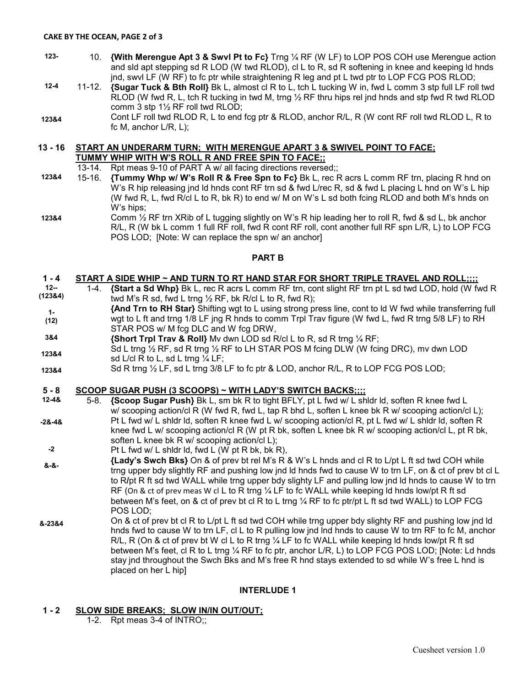#### **CAKE BY THE OCEAN, PAGE 2 of 3**

- **123-** 10. **{With Merengue Apt 3 & Swvl Pt to Fc}** Trng ¼ RF (W LF) to LOP POS COH use Merengue action and sld apt stepping sd R LOD (W twd RLOD), cl L to R, sd R softening in knee and keeping ld hnds jnd, swvl LF (W RF) to fc ptr while straightening R leg and pt L twd ptr to LOP FCG POS RLOD;
- **12-4**  11-12. **{Sugar Tuck & Bth Roll}** Bk L, almost cl R to L, tch L tucking W in, fwd L comm 3 stp full LF roll twd RLOD (W fwd R, L, tch R tucking in twd M, trng  $\frac{1}{2}$  RF thru hips rel jnd hnds and stp fwd R twd RLOD comm 3 stp 1½ RF roll twd RLOD;
- **123&4**  Cont LF roll twd RLOD R, L to end fcg ptr & RLOD, anchor R/L, R (W cont RF roll twd RLOD L, R to fc M, anchor L/R, L);

### **13 - 16 START AN UNDERARM TURN; WITH MERENGUE APART 3 & SWIVEL POINT TO FACE;**

**TUMMY WHIP WITH W'S ROLL R AND FREE SPIN TO FACE;;** 

- 13-14. Rpt meas 9-10 of PART A w/ all facing directions reversed;;
- **123&4**  15-16. **{Tummy Whp w/ W's Roll R & Free Spn to Fc}** Bk L, rec R acrs L comm RF trn, placing R hnd on W's R hip releasing jnd ld hnds cont RF trn sd & fwd L/rec R, sd & fwd L placing L hnd on W's L hip (W fwd R, L, fwd R/cl L to R, bk R) to end w/ M on W's L sd both fcing RLOD and both M's hnds on W's hips;
- **123&4** Comm  $\frac{1}{2}$  RF trn XRib of L tugging slightly on W's R hip leading her to roll R, fwd & sd L, bk anchor R/L, R (W bk L comm 1 full RF roll, fwd R cont RF roll, cont another full RF spn L/R, L) to LOP FCG POS LOD; [Note: W can replace the spn w/ an anchor]

#### **PART B**

#### **1 - 4 START A SIDE WHIP ~ AND TURN TO RT HAND STAR FOR SHORT TRIPLE TRAVEL AND ROLL;;;;**

- **12-- (123&4)**  1-4. **{Start a Sd Whp}** Bk L, rec R acrs L comm RF trn, cont slight RF trn pt L sd twd LOD, hold (W fwd R twd M's R sd, fwd L trng  $\frac{1}{2}$  RF, bk R/cl L to R, fwd R);
- **1- (12) {And Trn to RH Star}** Shifting wgt to L using strong press line, cont to ld W fwd while transferring full wgt to L ft and trng 1/8 LF jng R hnds to comm Trpl Trav figure (W fwd L, fwd R trng 5/8 LF) to RH STAR POS w/ M fcg DLC and W fcg DRW,
- **3&4 {Short Trpl Trav & Roll}** Mv dwn LOD sd R/cl L to R, sd R trng ¼ RF;
- **123&4**  Sd L trng ½ RF, sd R trng ½ RF to LH STAR POS M fcing DLW (W fcing DRC), mv dwn LOD sd L/cl R to L, sd L trng  $\frac{1}{4}$  LF:
- **123&4**  Sd R trng  $\frac{1}{2}$  LF, sd L trng 3/8 LF to fc ptr & LOD, anchor R/L, R to LOP FCG POS LOD;

#### **5 - 8 SCOOP SUGAR PUSH (3 SCOOPS) ~ WITH LADY'S SWITCH BACKS;;;;**

- **12-4& -2&-4&**  5-8. **{Scoop Sugar Push}** Bk L, sm bk R to tight BFLY, pt L fwd w/ L shldr ld, soften R knee fwd L w/ scooping action/cl R (W fwd R, fwd L, tap R bhd L, soften L knee bk R w/ scooping action/cl L); Pt L fwd w/ L shldr ld, soften R knee fwd L w/ scooping action/cl R, pt L fwd w/ L shldr ld, soften R knee fwd L w/ scooping action/cl R (W pt R bk, soften L knee bk R w/ scooping action/cl L, pt R bk, soften L knee bk R w/ scooping action/cl L);
- **-2**  Pt L fwd w/ L shldr ld, fwd L (W pt R bk, bk R),
- **&-&- {Lady's Swch Bks}** On & of prev bt rel M's R & W's L hnds and cl R to L/pt L ft sd twd COH while trng upper bdy slightly RF and pushing low jnd ld hnds fwd to cause W to trn LF, on & ct of prev bt cl L to R**/**pt R ft sd twd WALL while trng upper bdy slighty LF and pulling low jnd ld hnds to cause W to trn RF (On & ct of prev meas W cl L to R trng 1/4 LF to fc WALL while keeping Id hnds low/pt R ft sd between M's feet, on & ct of prev bt cl R to L trng ¼ RF to fc ptr/pt L ft sd twd WALL) to LOP FCG POS LOD;
- **&-23&4**  On & ct of prev bt cl R to L/pt L ft sd twd COH while trng upper bdy slighty RF and pushing low jnd ld hnds fwd to cause W to trn LF, cl L to R pulling low jnd lnd hnds to cause W to trn RF to fc M, anchor R/L, R (On & ct of prev bt W cl L to R trng  $\frac{1}{4}$  LF to fc WALL while keeping Id hnds low/pt R ft sd between M's feet, cl R to L trng 1/4 RF to fc ptr, anchor L/R, L) to LOP FCG POS LOD; [Note: Ld hnds stay jnd throughout the Swch Bks and M's free R hnd stays extended to sd while W's free L hnd is placed on her L hip]

#### **INTERLUDE 1**

#### **1 - 2 SLOW SIDE BREAKS; SLOW IN/IN OUT/OUT;**

1-2. Rpt meas 3-4 of INTRO;;